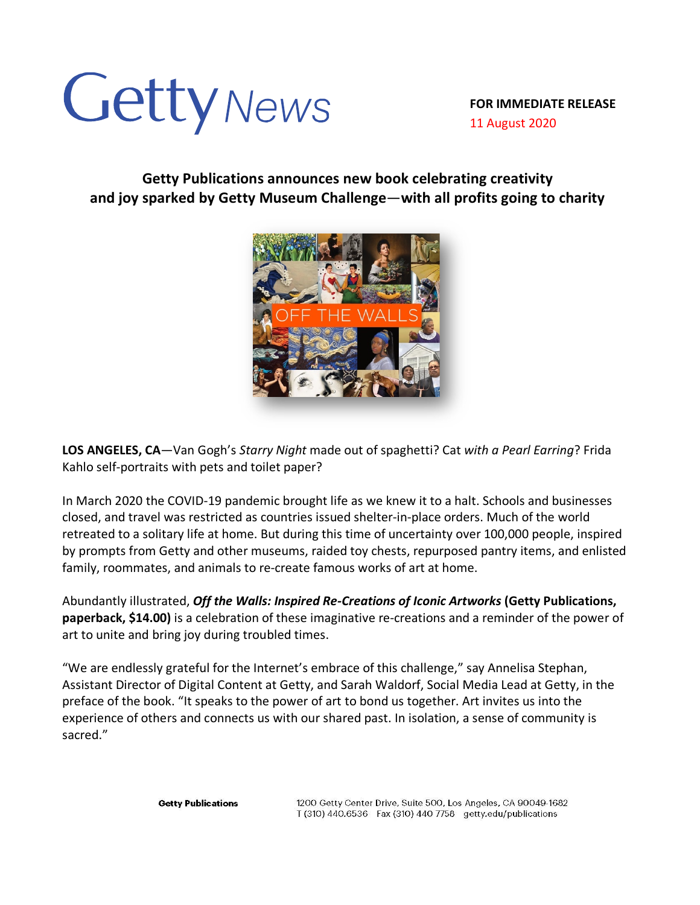## Getty News

**FOR IMMEDIATE RELEASE** 11 August 2020

**Getty Publications announces new book celebrating creativity and joy sparked by Getty Museum Challenge**—**with all profits going to charity**



**LOS ANGELES, CA**—Van Gogh's *Starry Night* made out of spaghetti? Cat *with a Pearl Earring*? Frida Kahlo self-portraits with pets and toilet paper?

In March 2020 the COVID-19 pandemic brought life as we knew it to a halt. Schools and businesses closed, and travel was restricted as countries issued shelter-in-place orders. Much of the world retreated to a solitary life at home. But during this time of uncertainty over 100,000 people, inspired by prompts from Getty and other museums, raided toy chests, repurposed pantry items, and enlisted family, roommates, and animals to re-create famous works of art at home.

Abundantly illustrated, *Off the Walls: Inspired Re-Creations of Iconic Artworks* **(Getty Publications, paperback, \$14.00)** is a celebration of these imaginative re-creations and a reminder of the power of art to unite and bring joy during troubled times.

"We are endlessly grateful for the Internet's embrace of this challenge," say Annelisa Stephan, Assistant Director of Digital Content at Getty, and Sarah Waldorf, Social Media Lead at Getty, in the preface of the book. "It speaks to the power of art to bond us together. Art invites us into the experience of others and connects us with our shared past. In isolation, a sense of community is sacred."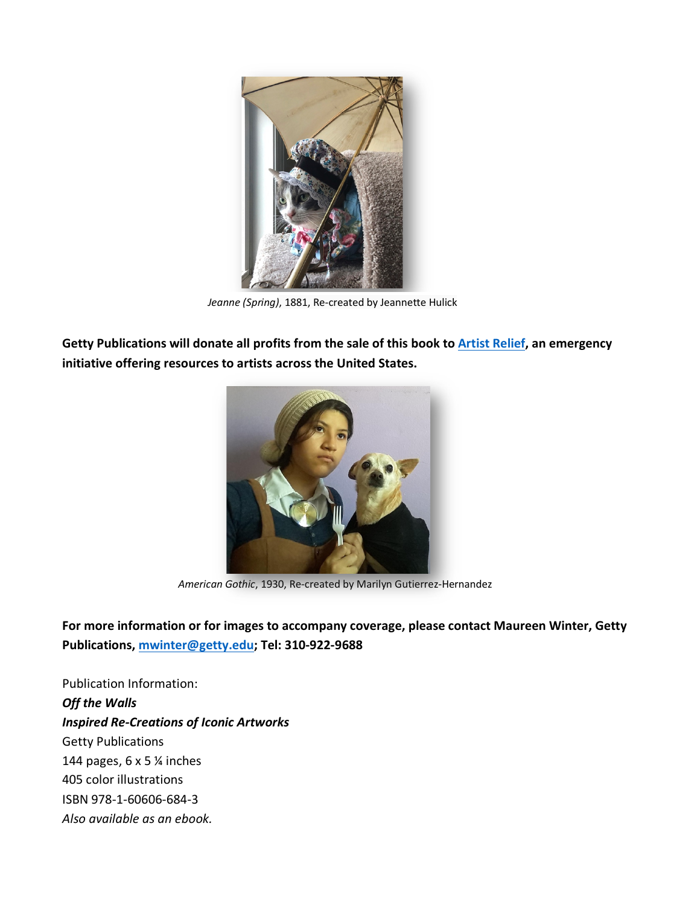

*Jeanne (Spring)*, 1881, Re-created by Jeannette Hulick

**Getty Publications will donate all profits from the sale of this book to Artist Relief, an emergency initiative offering resources to artists across the United States.** 



*American Gothic*, 1930, Re-created by Marilyn Gutierrez-Hernandez

**For more information or for images to accompany coverage, please contact Maureen Winter, Getty Publications, mwinter@getty.edu; Tel: 310-922-9688**

Publication Information: *Off the Walls Inspired Re-Creations of Iconic Artworks* Getty Publications 144 pages, 6 x 5 ¼ inches 405 color illustrations ISBN 978-1-60606-684-3 *Also available as an ebook.*